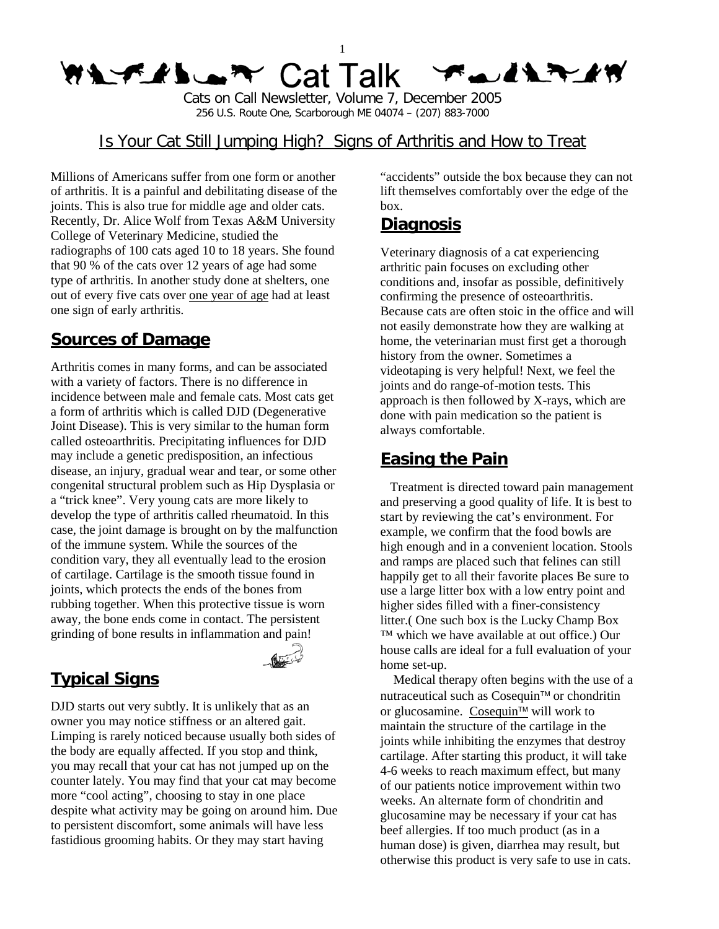#### 1 **WAYLIDER** Cat Talk **TAINTHY**

Cats on Call Newsletter, Volume 7, December 2005 256 U.S. Route One, Scarborough ME 04074 – (207) 883-7000

### Is Your Cat Still Jumping High? Signs of Arthritis and How to Treat

Millions of Americans suffer from one form or another of arthritis. It is a painful and debilitating disease of the joints. This is also true for middle age and older cats. Recently, Dr. Alice Wolf from Texas A&M University College of Veterinary Medicine, studied the radiographs of 100 cats aged 10 to 18 years. She found that 90 % of the cats over 12 years of age had some type of arthritis. In another study done at shelters, one out of every five cats over one year of age had at least one sign of early arthritis.

## **Sources of Damage**

Arthritis comes in many forms, and can be associated with a variety of factors. There is no difference in incidence between male and female cats. Most cats get a form of arthritis which is called DJD (Degenerative Joint Disease). This is very similar to the human form called osteoarthritis. Precipitating influences for DJD may include a genetic predisposition, an infectious disease, an injury, gradual wear and tear, or some other congenital structural problem such as Hip Dysplasia or a "trick knee". Very young cats are more likely to develop the type of arthritis called rheumatoid. In this case, the joint damage is brought on by the malfunction of the immune system. While the sources of the condition vary, they all eventually lead to the erosion of cartilage. Cartilage is the smooth tissue found in joints, which protects the ends of the bones from rubbing together. When this protective tissue is worn away, the bone ends come in contact. The persistent grinding of bone results in inflammation and pain!

# **Typical Signs**

DJD starts out very subtly. It is unlikely that as an owner you may notice stiffness or an altered gait. Limping is rarely noticed because usually both sides of the body are equally affected. If you stop and think, you may recall that your cat has not jumped up on the counter lately. You may find that your cat may become more "cool acting", choosing to stay in one place despite what activity may be going on around him. Due to persistent discomfort, some animals will have less fastidious grooming habits. Or they may start having

"accidents" outside the box because they can not lift themselves comfortably over the edge of the box.

## **Diagnosis**

Veterinary diagnosis of a cat experiencing arthritic pain focuses on excluding other conditions and, insofar as possible, definitively confirming the presence of osteoarthritis. Because cats are often stoic in the office and will not easily demonstrate how they are walking at home, the veterinarian must first get a thorough history from the owner. Sometimes a videotaping is very helpful! Next, we feel the joints and do range-of-motion tests. This approach is then followed by X-rays, which are done with pain medication so the patient is always comfortable.

## **Easing the Pain**

 Treatment is directed toward pain management and preserving a good quality of life. It is best to start by reviewing the cat's environment. For example, we confirm that the food bowls are high enough and in a convenient location. Stools and ramps are placed such that felines can still happily get to all their favorite places Be sure to use a large litter box with a low entry point and higher sides filled with a finer-consistency litter.( One such box is the Lucky Champ Box ™ which we have available at out office.) Our house calls are ideal for a full evaluation of your home set-up.

 Medical therapy often begins with the use of a nutraceutical such as Cosequin™ or chondritin or glucosamine. Cosequin<sup>™</sup> will work to maintain the structure of the cartilage in the joints while inhibiting the enzymes that destroy cartilage. After starting this product, it will take 4-6 weeks to reach maximum effect, but many of our patients notice improvement within two weeks. An alternate form of chondritin and glucosamine may be necessary if your cat has beef allergies. If too much product (as in a human dose) is given, diarrhea may result, but otherwise this product is very safe to use in cats.